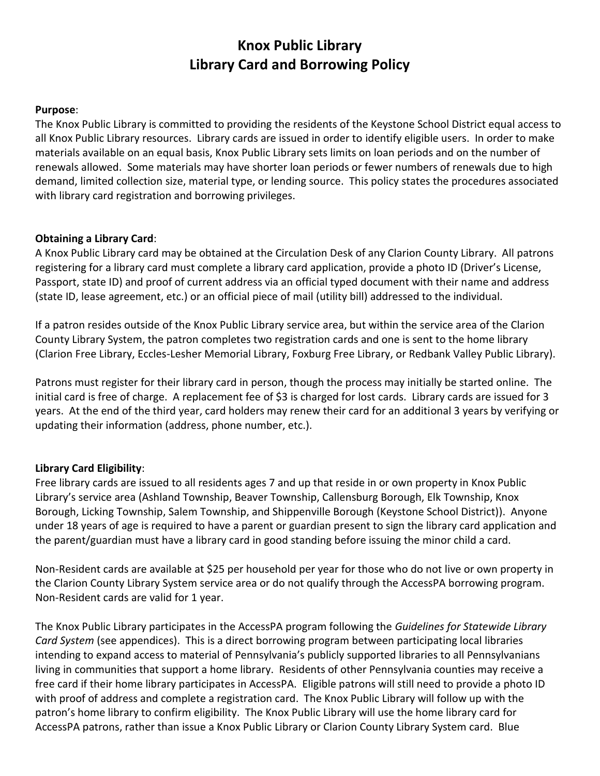# **Knox Public Library Library Card and Borrowing Policy**

### **Purpose**:

The Knox Public Library is committed to providing the residents of the Keystone School District equal access to all Knox Public Library resources. Library cards are issued in order to identify eligible users. In order to make materials available on an equal basis, Knox Public Library sets limits on loan periods and on the number of renewals allowed. Some materials may have shorter loan periods or fewer numbers of renewals due to high demand, limited collection size, material type, or lending source. This policy states the procedures associated with library card registration and borrowing privileges.

## **Obtaining a Library Card**:

A Knox Public Library card may be obtained at the Circulation Desk of any Clarion County Library. All patrons registering for a library card must complete a library card application, provide a photo ID (Driver's License, Passport, state ID) and proof of current address via an official typed document with their name and address (state ID, lease agreement, etc.) or an official piece of mail (utility bill) addressed to the individual.

If a patron resides outside of the Knox Public Library service area, but within the service area of the Clarion County Library System, the patron completes two registration cards and one is sent to the home library (Clarion Free Library, Eccles-Lesher Memorial Library, Foxburg Free Library, or Redbank Valley Public Library).

Patrons must register for their library card in person, though the process may initially be started online. The initial card is free of charge. A replacement fee of \$3 is charged for lost cards. Library cards are issued for 3 years. At the end of the third year, card holders may renew their card for an additional 3 years by verifying or updating their information (address, phone number, etc.).

# **Library Card Eligibility**:

Free library cards are issued to all residents ages 7 and up that reside in or own property in Knox Public Library's service area (Ashland Township, Beaver Township, Callensburg Borough, Elk Township, Knox Borough, Licking Township, Salem Township, and Shippenville Borough (Keystone School District)). Anyone under 18 years of age is required to have a parent or guardian present to sign the library card application and the parent/guardian must have a library card in good standing before issuing the minor child a card.

Non-Resident cards are available at \$25 per household per year for those who do not live or own property in the Clarion County Library System service area or do not qualify through the AccessPA borrowing program. Non-Resident cards are valid for 1 year.

The Knox Public Library participates in the AccessPA program following the *Guidelines for Statewide Library Card System* (see appendices). This is a direct borrowing program between participating local libraries intending to expand access to material of Pennsylvania's publicly supported libraries to all Pennsylvanians living in communities that support a home library. Residents of other Pennsylvania counties may receive a free card if their home library participates in AccessPA. Eligible patrons will still need to provide a photo ID with proof of address and complete a registration card. The Knox Public Library will follow up with the patron's home library to confirm eligibility. The Knox Public Library will use the home library card for AccessPA patrons, rather than issue a Knox Public Library or Clarion County Library System card. Blue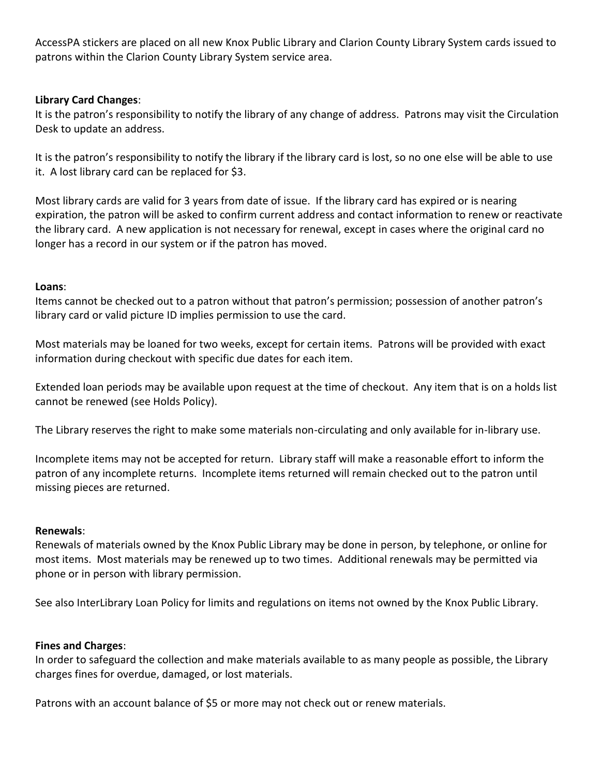AccessPA stickers are placed on all new Knox Public Library and Clarion County Library System cards issued to patrons within the Clarion County Library System service area.

## **Library Card Changes**:

It is the patron's responsibility to notify the library of any change of address. Patrons may visit the Circulation Desk to update an address.

It is the patron's responsibility to notify the library if the library card is lost, so no one else will be able to use it. A lost library card can be replaced for \$3.

Most library cards are valid for 3 years from date of issue. If the library card has expired or is nearing expiration, the patron will be asked to confirm current address and contact information to renew or reactivate the library card. A new application is not necessary for renewal, except in cases where the original card no longer has a record in our system or if the patron has moved.

#### **Loans**:

Items cannot be checked out to a patron without that patron's permission; possession of another patron's library card or valid picture ID implies permission to use the card.

Most materials may be loaned for two weeks, except for certain items. Patrons will be provided with exact information during checkout with specific due dates for each item.

Extended loan periods may be available upon request at the time of checkout. Any item that is on a holds list cannot be renewed (see Holds Policy).

The Library reserves the right to make some materials non-circulating and only available for in-library use.

Incomplete items may not be accepted for return. Library staff will make a reasonable effort to inform the patron of any incomplete returns. Incomplete items returned will remain checked out to the patron until missing pieces are returned.

#### **Renewals**:

Renewals of materials owned by the Knox Public Library may be done in person, by telephone, or online for most items. Most materials may be renewed up to two times. Additional renewals may be permitted via phone or in person with library permission.

See also InterLibrary Loan Policy for limits and regulations on items not owned by the Knox Public Library.

#### **Fines and Charges**:

In order to safeguard the collection and make materials available to as many people as possible, the Library charges fines for overdue, damaged, or lost materials.

Patrons with an account balance of \$5 or more may not check out or renew materials.